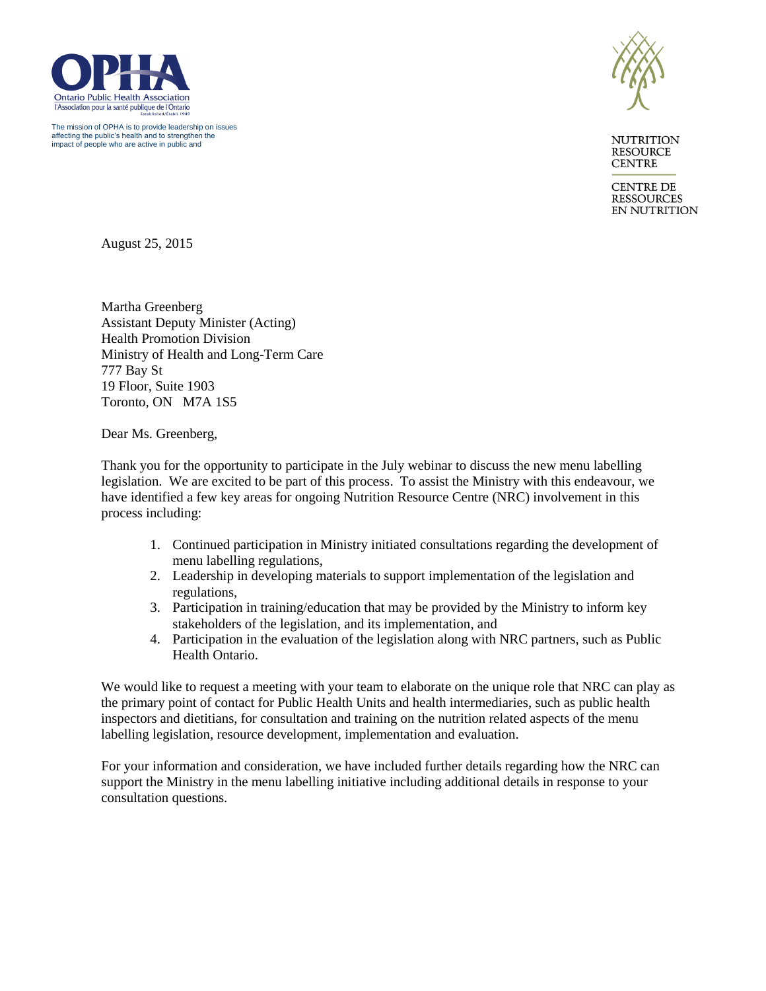

The mission of OPHA is to provide leadership on issues affecting the public's health and to strengthen the impact of people who are active in public and



**NUTRITION RESOURCE CENTRE** 

**CENTRE DE RESSOURCES EN NUTRITION** 

August 25, 2015

Martha Greenberg Assistant Deputy Minister (Acting) Health Promotion Division Ministry of Health and Long-Term Care 777 Bay St 19 Floor, Suite 1903 Toronto, ON M7A 1S5

Dear Ms. Greenberg,

Thank you for the opportunity to participate in the July webinar to discuss the new menu labelling legislation. We are excited to be part of this process. To assist the Ministry with this endeavour, we have identified a few key areas for ongoing Nutrition Resource Centre (NRC) involvement in this process including:

- 1. Continued participation in Ministry initiated consultations regarding the development of menu labelling regulations,
- 2. Leadership in developing materials to support implementation of the legislation and regulations,
- 3. Participation in training/education that may be provided by the Ministry to inform key stakeholders of the legislation, and its implementation, and
- 4. Participation in the evaluation of the legislation along with NRC partners, such as Public Health Ontario.

We would like to request a meeting with your team to elaborate on the unique role that NRC can play as the primary point of contact for Public Health Units and health intermediaries, such as public health inspectors and dietitians, for consultation and training on the nutrition related aspects of the menu labelling legislation, resource development, implementation and evaluation.

For your information and consideration, we have included further details regarding how the NRC can support the Ministry in the menu labelling initiative including additional details in response to your consultation questions.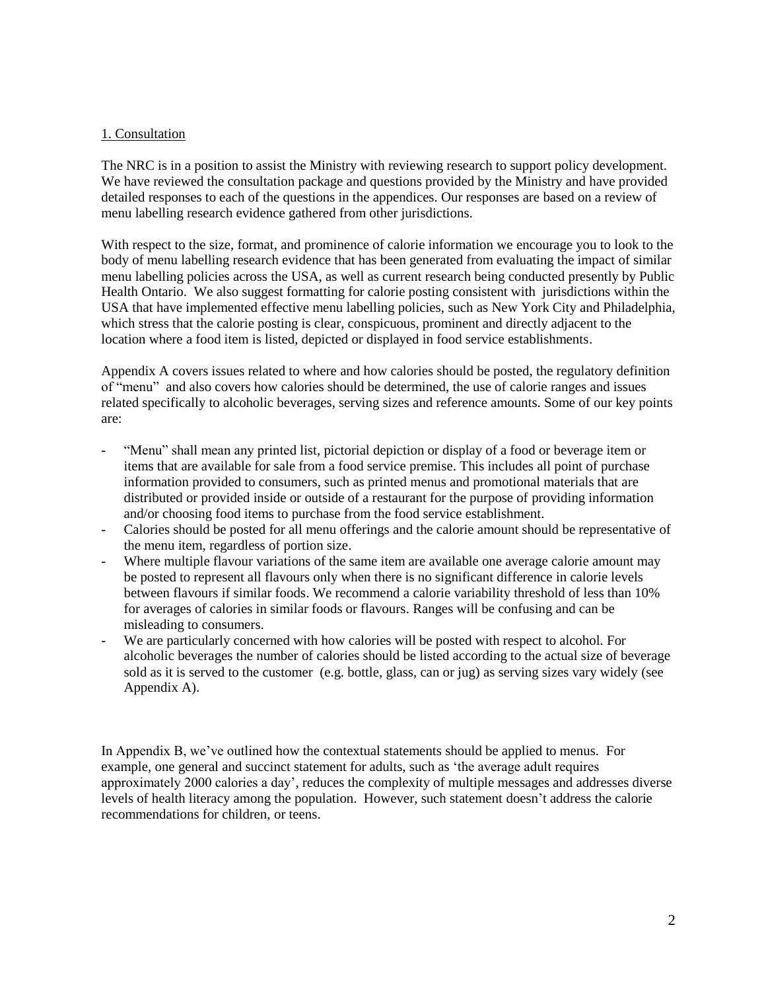### 1. Consultation

The NRC is in a position to assist the Ministry with reviewing research to support policy development. We have reviewed the consultation package and questions provided by the Ministry and have provided detailed responses to each of the questions in the appendices. Our responses are based on a review of menu labelling research evidence gathered from other jurisdictions.

With respect to the size, format, and prominence of calorie information we encourage you to look to the body of menu labelling research evidence that has been generated from evaluating the impact of similar menu labelling policies across the USA, as well as current research being conducted presently by Public Health Ontario. We also suggest formatting for calorie posting consistent with jurisdictions within the USA that have implemented effective menu labelling policies, such as New York City and Philadelphia, which stress that the calorie posting is clear, conspicuous, prominent and directly adjacent to the location where a food item is listed, depicted or displayed in food service establishments.

Appendix A covers issues related to where and how calories should be posted, the regulatory definition of "menu" and also covers how calories should be determined, the use of calorie ranges and issues related specifically to alcoholic beverages, serving sizes and reference amounts. Some of our key points are:

- "Menu" shall mean any printed list, pictorial depiction or display of a food or beverage item or items that are available for sale from a food service premise. This includes all point of purchase information provided to consumers, such as printed menus and promotional materials that are distributed or provided inside or outside of a restaurant for the purpose of providing information and/or choosing food items to purchase from the food service establishment.
- Calories should be posted for all menu offerings and the calorie amount should be representative of the menu item, regardless of portion size.
- Where multiple flavour variations of the same item are available one average calorie amount may be posted to represent all flavours only when there is no significant difference in calorie levels between flavours if similar foods. We recommend a calorie variability threshold of less than 10% for averages of calories in similar foods or flavours. Ranges will be confusing and can be misleading to consumers.
- We are particularly concerned with how calories will be posted with respect to alcohol. For alcoholic beverages the number of calories should be listed according to the actual size of beverage sold as it is served to the customer (e.g. bottle, glass, can or jug) as serving sizes vary widely (see Appendix A).

In Appendix B, we've outlined how the contextual statements should be applied to menus. For example, one general and succinct statement for adults, such as 'the average adult requires approximately 2000 calories a day', reduces the complexity of multiple messages and addresses diverse levels of health literacy among the population. However, such statement doesn't address the calorie recommendations for children, or teens.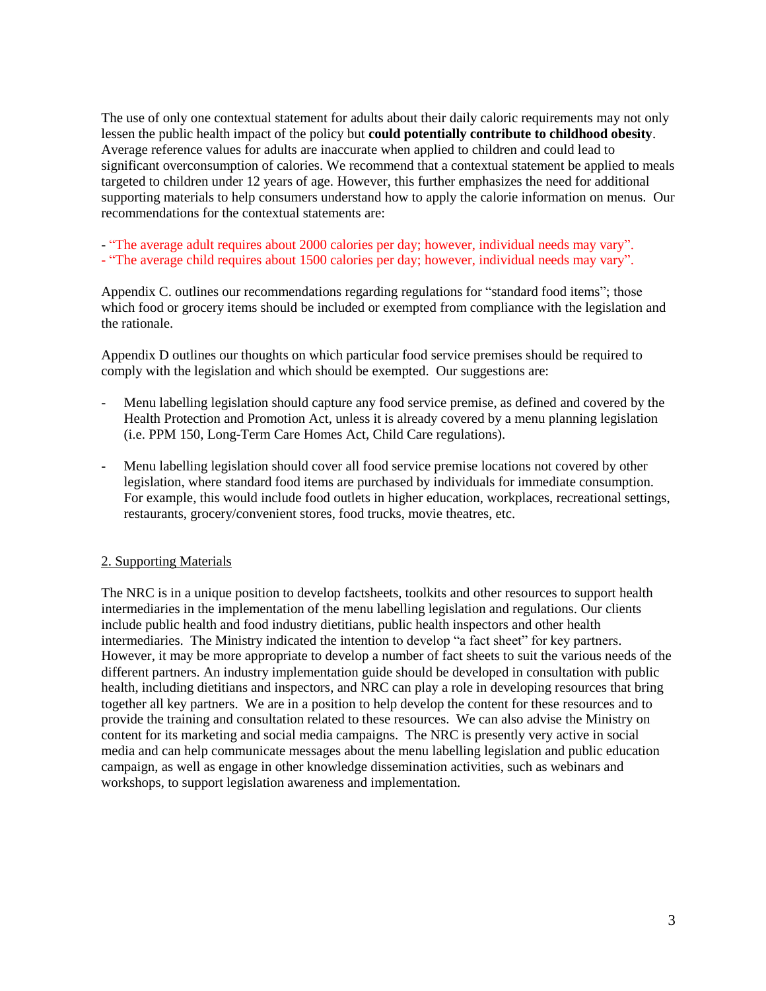The use of only one contextual statement for adults about their daily caloric requirements may not only lessen the public health impact of the policy but **could potentially contribute to childhood obesity**. Average reference values for adults are inaccurate when applied to children and could lead to significant overconsumption of calories. We recommend that a contextual statement be applied to meals targeted to children under 12 years of age. However, this further emphasizes the need for additional supporting materials to help consumers understand how to apply the calorie information on menus. Our recommendations for the contextual statements are:

- "The average adult requires about 2000 calories per day; however, individual needs may vary".

- "The average child requires about 1500 calories per day; however, individual needs may vary".

Appendix C. outlines our recommendations regarding regulations for "standard food items"; those which food or grocery items should be included or exempted from compliance with the legislation and the rationale.

Appendix D outlines our thoughts on which particular food service premises should be required to comply with the legislation and which should be exempted. Our suggestions are:

- Menu labelling legislation should capture any food service premise, as defined and covered by the Health Protection and Promotion Act, unless it is already covered by a menu planning legislation (i.e. PPM 150, Long-Term Care Homes Act, Child Care regulations).
- Menu labelling legislation should cover all food service premise locations not covered by other legislation, where standard food items are purchased by individuals for immediate consumption. For example, this would include food outlets in higher education, workplaces, recreational settings, restaurants, grocery/convenient stores, food trucks, movie theatres, etc.

### 2. Supporting Materials

The NRC is in a unique position to develop factsheets, toolkits and other resources to support health intermediaries in the implementation of the menu labelling legislation and regulations. Our clients include public health and food industry dietitians, public health inspectors and other health intermediaries. The Ministry indicated the intention to develop "a fact sheet" for key partners. However, it may be more appropriate to develop a number of fact sheets to suit the various needs of the different partners. An industry implementation guide should be developed in consultation with public health, including dietitians and inspectors, and NRC can play a role in developing resources that bring together all key partners. We are in a position to help develop the content for these resources and to provide the training and consultation related to these resources. We can also advise the Ministry on content for its marketing and social media campaigns. The NRC is presently very active in social media and can help communicate messages about the menu labelling legislation and public education campaign, as well as engage in other knowledge dissemination activities, such as webinars and workshops, to support legislation awareness and implementation.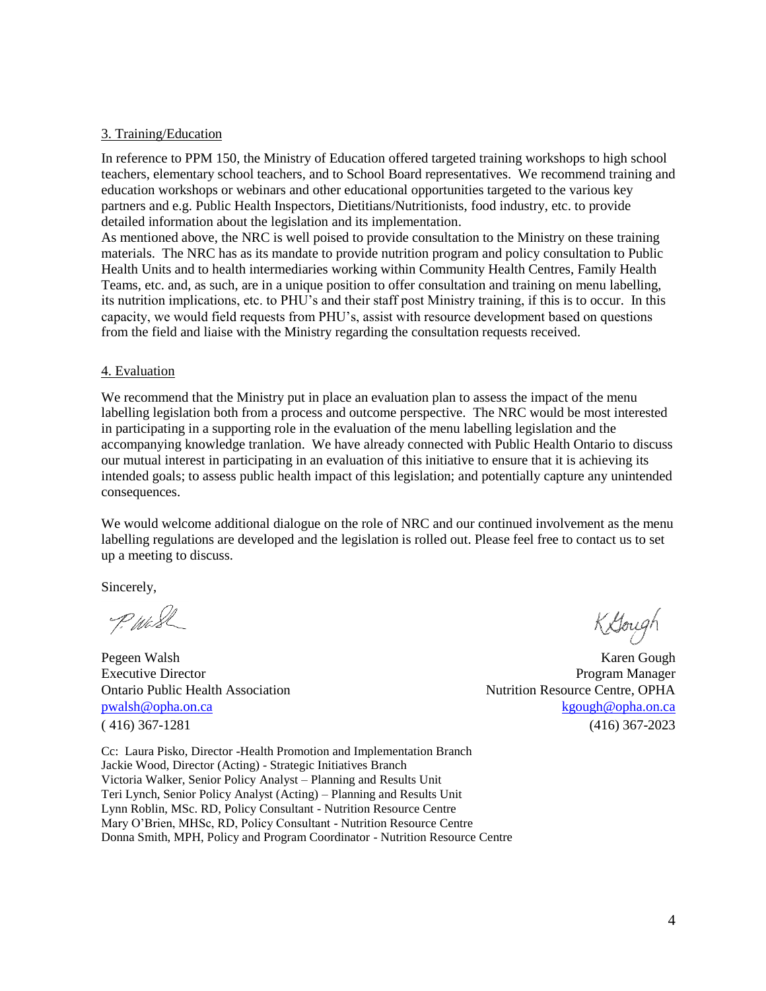### 3. Training/Education

In reference to PPM 150, the Ministry of Education offered targeted training workshops to high school teachers, elementary school teachers, and to School Board representatives. We recommend training and education workshops or webinars and other educational opportunities targeted to the various key partners and e.g. Public Health Inspectors, Dietitians/Nutritionists, food industry, etc. to provide detailed information about the legislation and its implementation.

As mentioned above, the NRC is well poised to provide consultation to the Ministry on these training materials. The NRC has as its mandate to provide nutrition program and policy consultation to Public Health Units and to health intermediaries working within Community Health Centres, Family Health Teams, etc. and, as such, are in a unique position to offer consultation and training on menu labelling, its nutrition implications, etc. to PHU's and their staff post Ministry training, if this is to occur. In this capacity, we would field requests from PHU's, assist with resource development based on questions from the field and liaise with the Ministry regarding the consultation requests received.

### 4. Evaluation

We recommend that the Ministry put in place an evaluation plan to assess the impact of the menu labelling legislation both from a process and outcome perspective. The NRC would be most interested in participating in a supporting role in the evaluation of the menu labelling legislation and the accompanying knowledge tranlation. We have already connected with Public Health Ontario to discuss our mutual interest in participating in an evaluation of this initiative to ensure that it is achieving its intended goals; to assess public health impact of this legislation; and potentially capture any unintended consequences.

We would welcome additional dialogue on the role of NRC and our continued involvement as the menu labelling regulations are developed and the legislation is rolled out. Please feel free to contact us to set up a meeting to discuss.

Sincerely,

P. Wash

Pegeen Walsh Karen Gough Executive Director **Program Manager** Ontario Public Health Association Nutrition Resource Centre, OPHA [pwalsh@opha.on.ca](mailto:pwalsh@opha.on.ca) [kgough@opha.on.ca](mailto:kgough@opha.on.ca) kgough@opha.on.ca kgough@opha.on.ca kgough@opha.on.ca ( 416) 367-1281 (416) 367-2023

Cc: Laura Pisko, Director -Health Promotion and Implementation Branch Jackie Wood, Director (Acting) - Strategic Initiatives Branch Victoria Walker, Senior Policy Analyst – Planning and Results Unit Teri Lynch, Senior Policy Analyst (Acting) – Planning and Results Unit Lynn Roblin, MSc. RD, Policy Consultant - Nutrition Resource Centre Mary O'Brien, MHSc, RD, Policy Consultant - Nutrition Resource Centre Donna Smith, MPH, Policy and Program Coordinator - Nutrition Resource Centre

Kough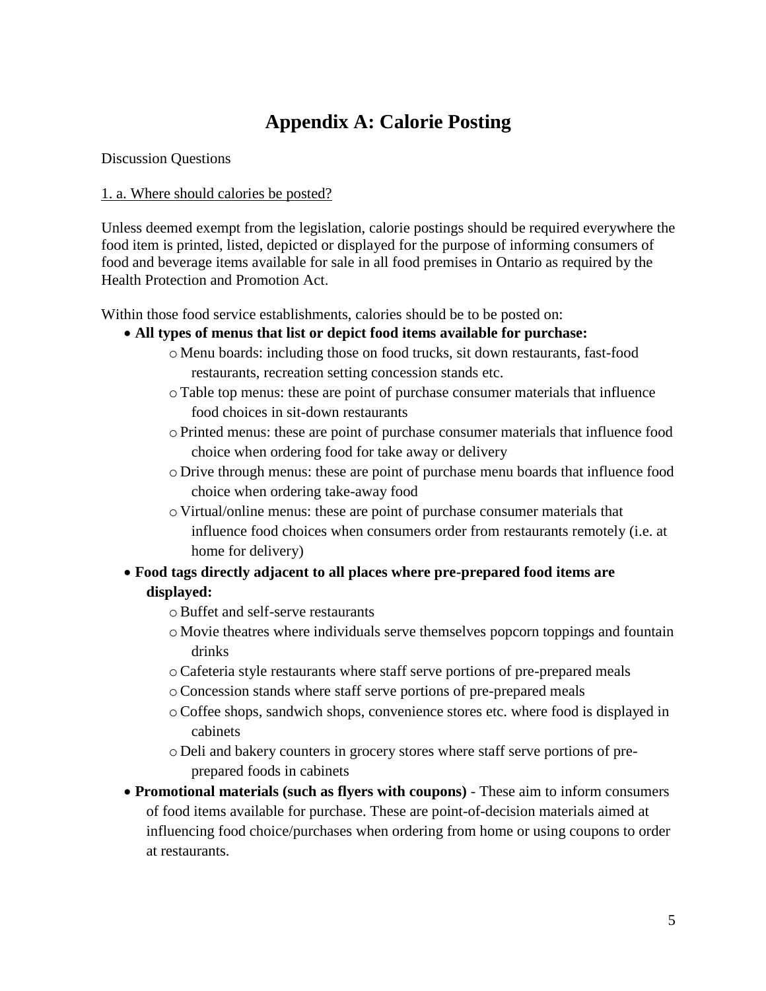# **Appendix A: Calorie Posting**

Discussion Questions

### 1. a. Where should calories be posted?

Unless deemed exempt from the legislation, calorie postings should be required everywhere the food item is printed, listed, depicted or displayed for the purpose of informing consumers of food and beverage items available for sale in all food premises in Ontario as required by the Health Protection and Promotion Act.

Within those food service establishments, calories should be to be posted on:

- **All types of menus that list or depict food items available for purchase:** 
	- o Menu boards: including those on food trucks, sit down restaurants, fast-food restaurants, recreation setting concession stands etc.
	- oTable top menus: these are point of purchase consumer materials that influence food choices in sit-down restaurants
	- $\circ$  Printed menus: these are point of purchase consumer materials that influence food choice when ordering food for take away or delivery
	- o Drive through menus: these are point of purchase menu boards that influence food choice when ordering take-away food
	- o Virtual/online menus: these are point of purchase consumer materials that influence food choices when consumers order from restaurants remotely (i.e. at home for delivery)
- **Food tags directly adjacent to all places where pre-prepared food items are displayed:**
	- oBuffet and self-serve restaurants
	- o Movie theatres where individuals serve themselves popcorn toppings and fountain drinks
	- oCafeteria style restaurants where staff serve portions of pre-prepared meals
	- oConcession stands where staff serve portions of pre-prepared meals
	- oCoffee shops, sandwich shops, convenience stores etc. where food is displayed in cabinets
	- o Deli and bakery counters in grocery stores where staff serve portions of preprepared foods in cabinets
- **Promotional materials (such as flyers with coupons)** These aim to inform consumers of food items available for purchase. These are point-of-decision materials aimed at influencing food choice/purchases when ordering from home or using coupons to order at restaurants.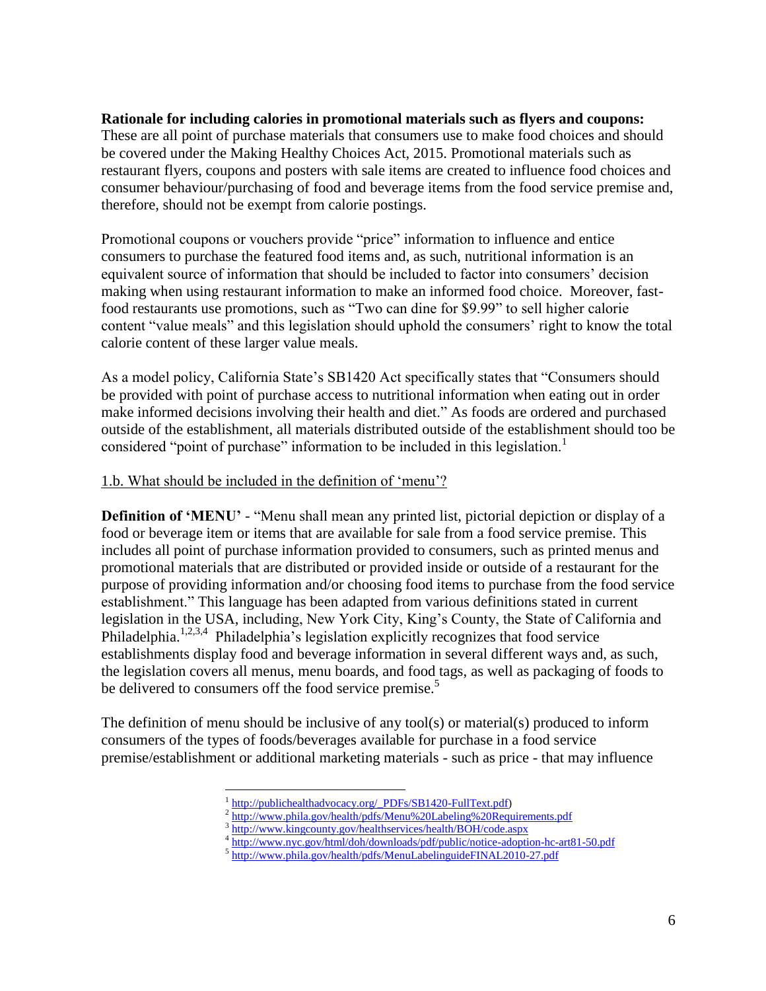### **Rationale for including calories in promotional materials such as flyers and coupons:**

These are all point of purchase materials that consumers use to make food choices and should be covered under the Making Healthy Choices Act, 2015. Promotional materials such as restaurant flyers, coupons and posters with sale items are created to influence food choices and consumer behaviour/purchasing of food and beverage items from the food service premise and, therefore, should not be exempt from calorie postings.

Promotional coupons or vouchers provide "price" information to influence and entice consumers to purchase the featured food items and, as such, nutritional information is an equivalent source of information that should be included to factor into consumers' decision making when using restaurant information to make an informed food choice. Moreover, fastfood restaurants use promotions, such as "Two can dine for \$9.99" to sell higher calorie content "value meals" and this legislation should uphold the consumers' right to know the total calorie content of these larger value meals.

As a model policy, California State's SB1420 Act specifically states that "Consumers should be provided with point of purchase access to nutritional information when eating out in order make informed decisions involving their health and diet." As foods are ordered and purchased outside of the establishment, all materials distributed outside of the establishment should too be considered "point of purchase" information to be included in this legislation.<sup>1</sup>

### 1.b. What should be included in the definition of 'menu'?

**Definition of 'MENU'** - "Menu shall mean any printed list, pictorial depiction or display of a food or beverage item or items that are available for sale from a food service premise. This includes all point of purchase information provided to consumers, such as printed menus and promotional materials that are distributed or provided inside or outside of a restaurant for the purpose of providing information and/or choosing food items to purchase from the food service establishment." This language has been adapted from various definitions stated in current legislation in the USA, including, New York City, King's County, the State of California and Philadelphia.<sup>1,2,3,4</sup> Philadelphia's legislation explicitly recognizes that food service establishments display food and beverage information in several different ways and, as such, the legislation covers all menus, menu boards, and food tags, as well as packaging of foods to be delivered to consumers off the food service premise.<sup>5</sup>

The definition of menu should be inclusive of any tool(s) or material(s) produced to inform consumers of the types of foods/beverages available for purchase in a food service premise/establishment or additional marketing materials - such as price - that may influence

 $\overline{a}$ 1 [http://publichealthadvocacy.org/\\_PDFs/SB1420-FullText.pdf\)](http://publichealthadvocacy.org/_PDFs/SB1420-FullText.pdf)

<sup>2</sup> <http://www.phila.gov/health/pdfs/Menu%20Labeling%20Requirements.pdf>

<sup>&</sup>lt;sup>3</sup> <http://www.kingcounty.gov/healthservices/health/BOH/code.aspx><br><sup>4</sup> <http://www.nyc.gov/html/doh/downloads/pdf/public/notice-adoption-hc-art81-50.pdf>

<sup>&</sup>lt;sup>5</sup> <http://www.phila.gov/health/pdfs/MenuLabelinguideFINAL2010-27.pdf>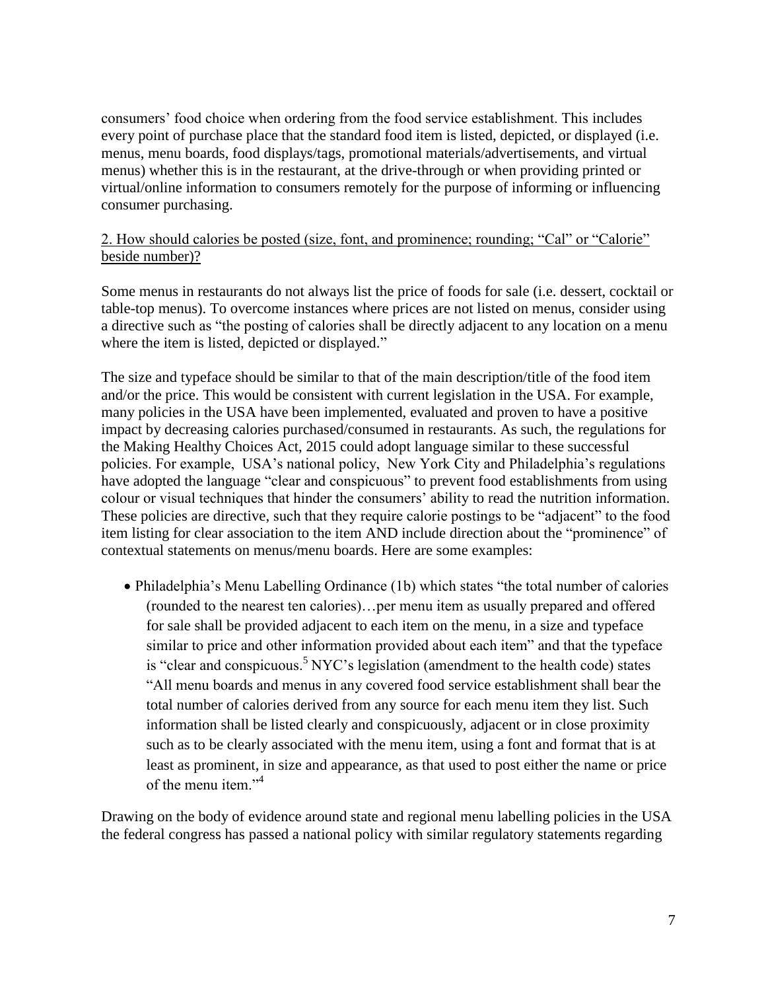consumers' food choice when ordering from the food service establishment. This includes every point of purchase place that the standard food item is listed, depicted, or displayed (i.e. menus, menu boards, food displays/tags, promotional materials/advertisements, and virtual menus) whether this is in the restaurant, at the drive-through or when providing printed or virtual/online information to consumers remotely for the purpose of informing or influencing consumer purchasing.

## 2. How should calories be posted (size, font, and prominence; rounding; "Cal" or "Calorie" beside number)?

Some menus in restaurants do not always list the price of foods for sale (i.e. dessert, cocktail or table-top menus). To overcome instances where prices are not listed on menus, consider using a directive such as "the posting of calories shall be directly adjacent to any location on a menu where the item is listed, depicted or displayed."

The size and typeface should be similar to that of the main description/title of the food item and/or the price. This would be consistent with current legislation in the USA. For example, many policies in the USA have been implemented, evaluated and proven to have a positive impact by decreasing calories purchased/consumed in restaurants. As such, the regulations for the Making Healthy Choices Act, 2015 could adopt language similar to these successful policies. For example, USA's national policy, New York City and Philadelphia's regulations have adopted the language "clear and conspicuous" to prevent food establishments from using colour or visual techniques that hinder the consumers' ability to read the nutrition information. These policies are directive, such that they require calorie postings to be "adjacent" to the food item listing for clear association to the item AND include direction about the "prominence" of contextual statements on menus/menu boards. Here are some examples:

• Philadelphia's Menu Labelling Ordinance (1b) which states "the total number of calories (rounded to the nearest ten calories)…per menu item as usually prepared and offered for sale shall be provided adjacent to each item on the menu, in a size and typeface similar to price and other information provided about each item" and that the typeface is "clear and conspicuous.<sup>5</sup> NYC's legislation (amendment to the health code) states "All menu boards and menus in any covered food service establishment shall bear the total number of calories derived from any source for each menu item they list. Such information shall be listed clearly and conspicuously, adjacent or in close proximity such as to be clearly associated with the menu item, using a font and format that is at least as prominent, in size and appearance, as that used to post either the name or price of the menu item  $"$ <sup>4</sup>

Drawing on the body of evidence around state and regional menu labelling policies in the USA the federal congress has passed a national policy with similar regulatory statements regarding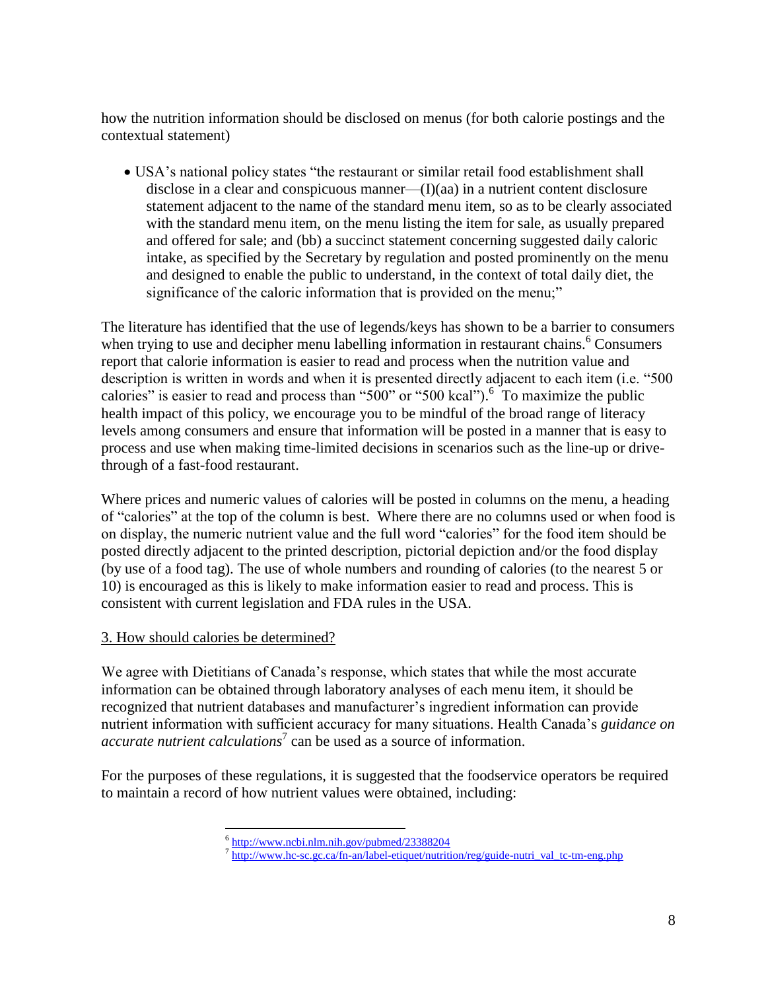how the nutrition information should be disclosed on menus (for both calorie postings and the contextual statement)

 USA's national policy states "the restaurant or similar retail food establishment shall disclose in a clear and conspicuous manner—(I)(aa) in a nutrient content disclosure statement adjacent to the name of the standard menu item, so as to be clearly associated with the standard menu item, on the menu listing the item for sale, as usually prepared and offered for sale; and (bb) a succinct statement concerning suggested daily caloric intake, as specified by the Secretary by regulation and posted prominently on the menu and designed to enable the public to understand, in the context of total daily diet, the significance of the caloric information that is provided on the menu;"

The literature has identified that the use of legends/keys has shown to be a barrier to consumers when trying to use and decipher menu labelling information in restaurant chains.<sup>6</sup> Consumers report that calorie information is easier to read and process when the nutrition value and description is written in words and when it is presented directly adjacent to each item (i.e. "500 calories" is easier to read and process than "500" or "500 kcal").  $6\degree$  To maximize the public health impact of this policy, we encourage you to be mindful of the broad range of literacy levels among consumers and ensure that information will be posted in a manner that is easy to process and use when making time-limited decisions in scenarios such as the line-up or drivethrough of a fast-food restaurant.

Where prices and numeric values of calories will be posted in columns on the menu, a heading of "calories" at the top of the column is best. Where there are no columns used or when food is on display, the numeric nutrient value and the full word "calories" for the food item should be posted directly adjacent to the printed description, pictorial depiction and/or the food display (by use of a food tag). The use of whole numbers and rounding of calories (to the nearest 5 or 10) is encouraged as this is likely to make information easier to read and process. This is consistent with current legislation and FDA rules in the USA.

## 3. How should calories be determined?

We agree with Dietitians of Canada's response, which states that while the most accurate information can be obtained through laboratory analyses of each menu item, it should be recognized that nutrient databases and manufacturer's ingredient information can provide nutrient information with sufficient accuracy for many situations. Health Canada's *guidance on accurate nutrient calculations*<sup>7</sup> can be used as a source of information.

For the purposes of these regulations, it is suggested that the foodservice operators be required to maintain a record of how nutrient values were obtained, including:

<sup>&</sup>lt;sup>6</sup><br>http://www.ncbi.nlm.nih.gov/pubmed/23388204<br>7 [http://www.hc-sc.gc.ca/fn-an/label-etiquet/nutrition/reg/guide-nutri\\_val\\_tc-tm-eng.php](http://www.hc-sc.gc.ca/fn-an/label-etiquet/nutrition/reg/guide-nutri_val_tc-tm-eng.php)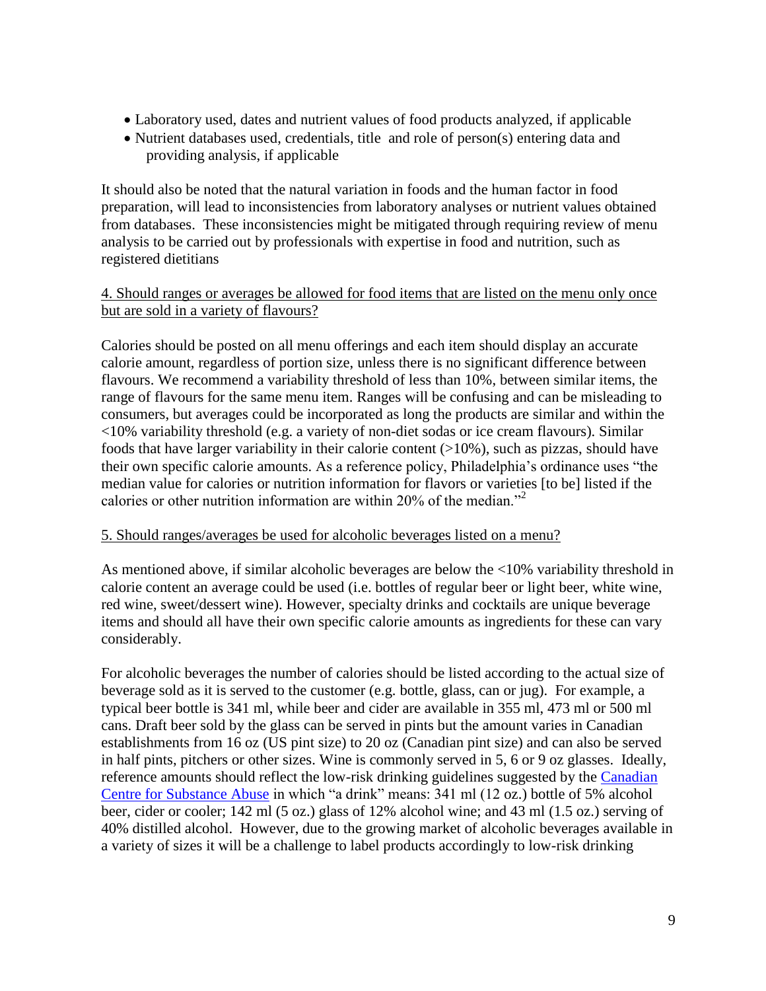- Laboratory used, dates and nutrient values of food products analyzed, if applicable
- Nutrient databases used, credentials, title and role of person(s) entering data and providing analysis, if applicable

It should also be noted that the natural variation in foods and the human factor in food preparation, will lead to inconsistencies from laboratory analyses or nutrient values obtained from databases. These inconsistencies might be mitigated through requiring review of menu analysis to be carried out by professionals with expertise in food and nutrition, such as registered dietitians

### 4. Should ranges or averages be allowed for food items that are listed on the menu only once but are sold in a variety of flavours?

Calories should be posted on all menu offerings and each item should display an accurate calorie amount, regardless of portion size, unless there is no significant difference between flavours. We recommend a variability threshold of less than 10%, between similar items, the range of flavours for the same menu item. Ranges will be confusing and can be misleading to consumers, but averages could be incorporated as long the products are similar and within the <10% variability threshold (e.g. a variety of non-diet sodas or ice cream flavours). Similar foods that have larger variability in their calorie content  $(>10\%)$ , such as pizzas, should have their own specific calorie amounts. As a reference policy, Philadelphia's ordinance uses "the median value for calories or nutrition information for flavors or varieties [to be] listed if the calories or other nutrition information are within 20% of the median.<sup> $2$ </sup>

### 5. Should ranges/averages be used for alcoholic beverages listed on a menu?

As mentioned above, if similar alcoholic beverages are below the <10% variability threshold in calorie content an average could be used (i.e. bottles of regular beer or light beer, white wine, red wine, sweet/dessert wine). However, specialty drinks and cocktails are unique beverage items and should all have their own specific calorie amounts as ingredients for these can vary considerably.

For alcoholic beverages the number of calories should be listed according to the actual size of beverage sold as it is served to the customer (e.g. bottle, glass, can or jug). For example, a typical beer bottle is 341 ml, while beer and cider are available in 355 ml, 473 ml or 500 ml cans. Draft beer sold by the glass can be served in pints but the amount varies in Canadian establishments from 16 oz (US pint size) to 20 oz (Canadian pint size) and can also be served in half pints, pitchers or other sizes. Wine is commonly served in 5, 6 or 9 oz glasses. Ideally, reference amounts should reflect the low-risk drinking guidelines suggested by the [Canadian](http://www.ccsa.ca/Eng/topics/alcohol/drinking-guidelines/Pages/default.aspx)  [Centre for Substance Abuse](http://www.ccsa.ca/Eng/topics/alcohol/drinking-guidelines/Pages/default.aspx) in which "a drink" means: 341 ml (12 oz.) bottle of 5% alcohol beer, cider or cooler; 142 ml (5 oz.) glass of 12% alcohol wine; and 43 ml (1.5 oz.) serving of 40% distilled alcohol. However, due to the growing market of alcoholic beverages available in a variety of sizes it will be a challenge to label products accordingly to low-risk drinking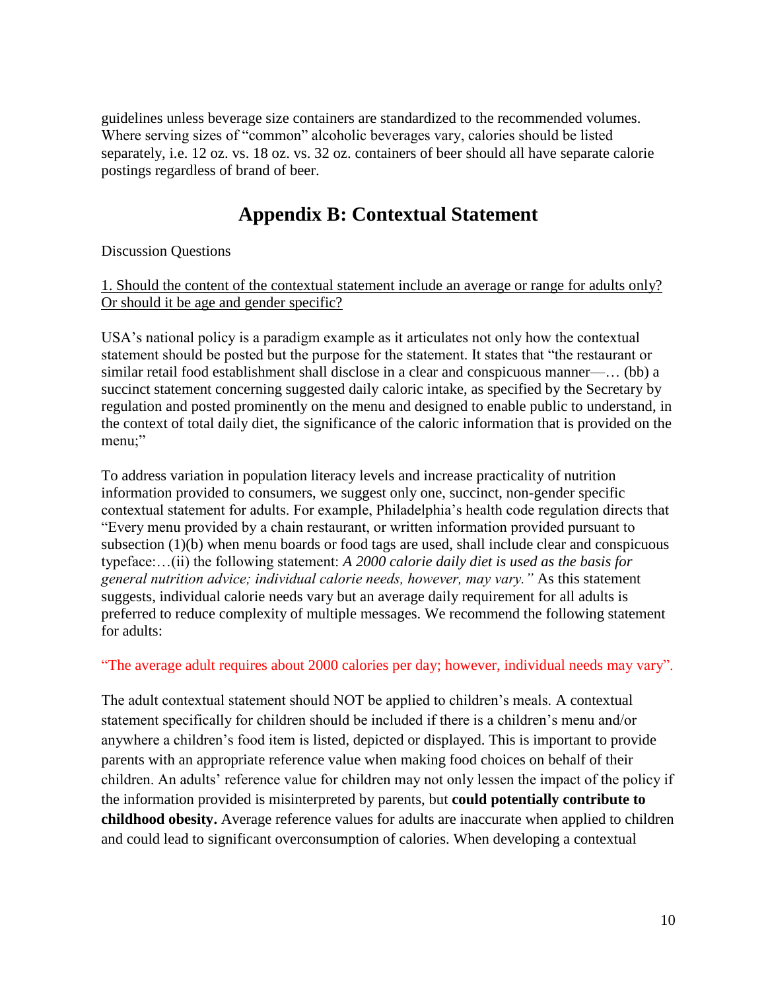guidelines unless beverage size containers are standardized to the recommended volumes. Where serving sizes of "common" alcoholic beverages vary, calories should be listed separately, i.e. 12 oz. vs. 18 oz. vs. 32 oz. containers of beer should all have separate calorie postings regardless of brand of beer.

## **Appendix B: Contextual Statement**

Discussion Questions

### 1. Should the content of the contextual statement include an average or range for adults only? Or should it be age and gender specific?

USA's national policy is a paradigm example as it articulates not only how the contextual statement should be posted but the purpose for the statement. It states that "the restaurant or similar retail food establishment shall disclose in a clear and conspicuous manner—… (bb) a succinct statement concerning suggested daily caloric intake, as specified by the Secretary by regulation and posted prominently on the menu and designed to enable public to understand, in the context of total daily diet, the significance of the caloric information that is provided on the menu;"

To address variation in population literacy levels and increase practicality of nutrition information provided to consumers, we suggest only one, succinct, non-gender specific contextual statement for adults. For example, Philadelphia's health code regulation directs that "Every menu provided by a chain restaurant, or written information provided pursuant to subsection (1)(b) when menu boards or food tags are used, shall include clear and conspicuous typeface:…(ii) the following statement: *A 2000 calorie daily diet is used as the basis for general nutrition advice; individual calorie needs, however, may vary."* As this statement suggests, individual calorie needs vary but an average daily requirement for all adults is preferred to reduce complexity of multiple messages. We recommend the following statement for adults:

## "The average adult requires about 2000 calories per day; however, individual needs may vary".

The adult contextual statement should NOT be applied to children's meals. A contextual statement specifically for children should be included if there is a children's menu and/or anywhere a children's food item is listed, depicted or displayed. This is important to provide parents with an appropriate reference value when making food choices on behalf of their children. An adults' reference value for children may not only lessen the impact of the policy if the information provided is misinterpreted by parents, but **could potentially contribute to childhood obesity.** Average reference values for adults are inaccurate when applied to children and could lead to significant overconsumption of calories. When developing a contextual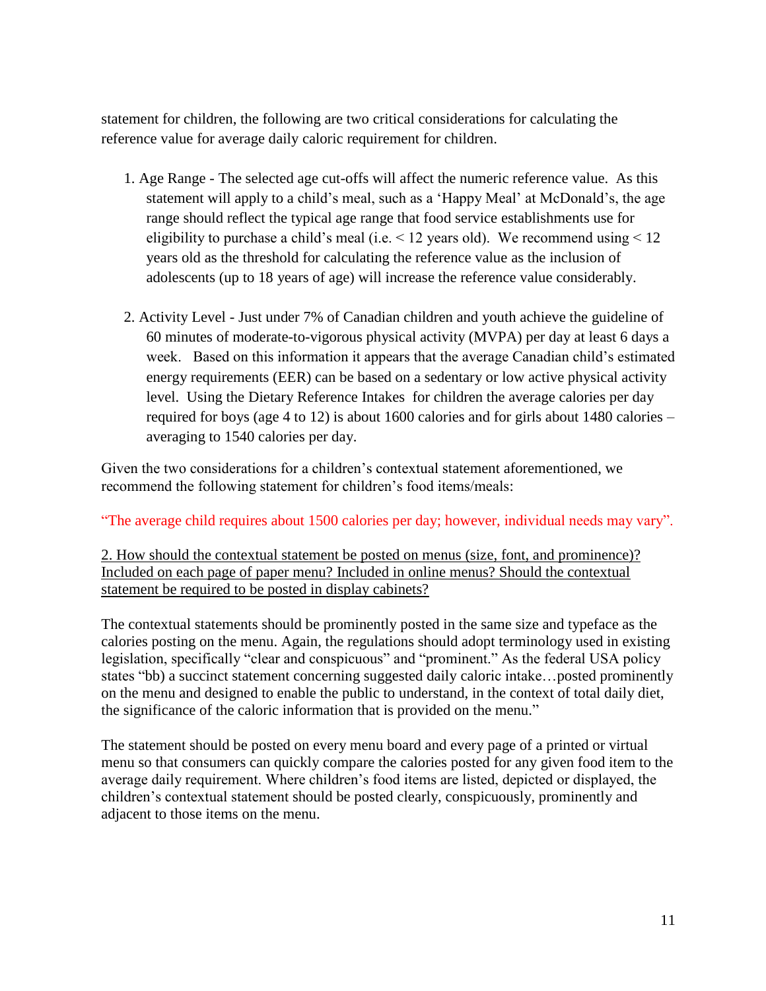statement for children, the following are two critical considerations for calculating the reference value for average daily caloric requirement for children.

- 1. Age Range The selected age cut-offs will affect the numeric reference value. As this statement will apply to a child's meal, such as a 'Happy Meal' at McDonald's, the age range should reflect the typical age range that food service establishments use for eligibility to purchase a child's meal (i.e. < 12 years old). We recommend using < 12 years old as the threshold for calculating the reference value as the inclusion of adolescents (up to 18 years of age) will increase the reference value considerably.
- 2. Activity Level Just under 7% of Canadian children and youth achieve the guideline of 60 minutes of moderate-to-vigorous physical activity (MVPA) per day at least 6 days a week. Based on this information it appears that the average Canadian child's estimated energy requirements (EER) can be based on a sedentary or low active physical activity level. Using the Dietary Reference Intakes for children the average calories per day required for boys (age 4 to 12) is about 1600 calories and for girls about 1480 calories – averaging to 1540 calories per day.

Given the two considerations for a children's contextual statement aforementioned, we recommend the following statement for children's food items/meals:

"The average child requires about 1500 calories per day; however, individual needs may vary".

2. How should the contextual statement be posted on menus (size, font, and prominence)? Included on each page of paper menu? Included in online menus? Should the contextual statement be required to be posted in display cabinets?

The contextual statements should be prominently posted in the same size and typeface as the calories posting on the menu. Again, the regulations should adopt terminology used in existing legislation, specifically "clear and conspicuous" and "prominent." As the federal USA policy states "bb) a succinct statement concerning suggested daily caloric intake…posted prominently on the menu and designed to enable the public to understand, in the context of total daily diet, the significance of the caloric information that is provided on the menu."

The statement should be posted on every menu board and every page of a printed or virtual menu so that consumers can quickly compare the calories posted for any given food item to the average daily requirement. Where children's food items are listed, depicted or displayed, the children's contextual statement should be posted clearly, conspicuously, prominently and adjacent to those items on the menu.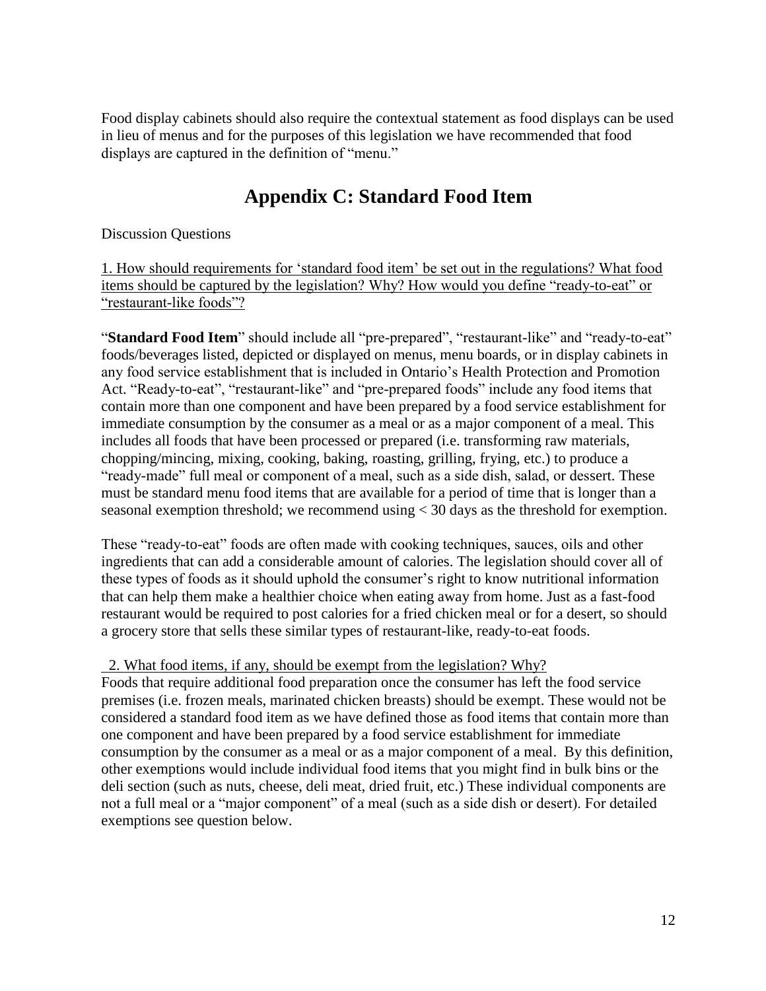Food display cabinets should also require the contextual statement as food displays can be used in lieu of menus and for the purposes of this legislation we have recommended that food displays are captured in the definition of "menu."

# **Appendix C: Standard Food Item**

Discussion Questions

1. How should requirements for 'standard food item' be set out in the regulations? What food items should be captured by the legislation? Why? How would you define "ready-to-eat" or "restaurant-like foods"?

"**Standard Food Item**" should include all "pre-prepared", "restaurant-like" and "ready-to-eat" foods/beverages listed, depicted or displayed on menus, menu boards, or in display cabinets in any food service establishment that is included in Ontario's Health Protection and Promotion Act. "Ready-to-eat", "restaurant-like" and "pre-prepared foods" include any food items that contain more than one component and have been prepared by a food service establishment for immediate consumption by the consumer as a meal or as a major component of a meal. This includes all foods that have been processed or prepared (i.e. transforming raw materials, chopping/mincing, mixing, cooking, baking, roasting, grilling, frying, etc.) to produce a "ready-made" full meal or component of a meal, such as a side dish, salad, or dessert. These must be standard menu food items that are available for a period of time that is longer than a seasonal exemption threshold; we recommend using < 30 days as the threshold for exemption.

These "ready-to-eat" foods are often made with cooking techniques, sauces, oils and other ingredients that can add a considerable amount of calories. The legislation should cover all of these types of foods as it should uphold the consumer's right to know nutritional information that can help them make a healthier choice when eating away from home. Just as a fast-food restaurant would be required to post calories for a fried chicken meal or for a desert, so should a grocery store that sells these similar types of restaurant-like, ready-to-eat foods.

## 2. What food items, if any, should be exempt from the legislation? Why?

Foods that require additional food preparation once the consumer has left the food service premises (i.e. frozen meals, marinated chicken breasts) should be exempt. These would not be considered a standard food item as we have defined those as food items that contain more than one component and have been prepared by a food service establishment for immediate consumption by the consumer as a meal or as a major component of a meal. By this definition, other exemptions would include individual food items that you might find in bulk bins or the deli section (such as nuts, cheese, deli meat, dried fruit, etc.) These individual components are not a full meal or a "major component" of a meal (such as a side dish or desert). For detailed exemptions see question below.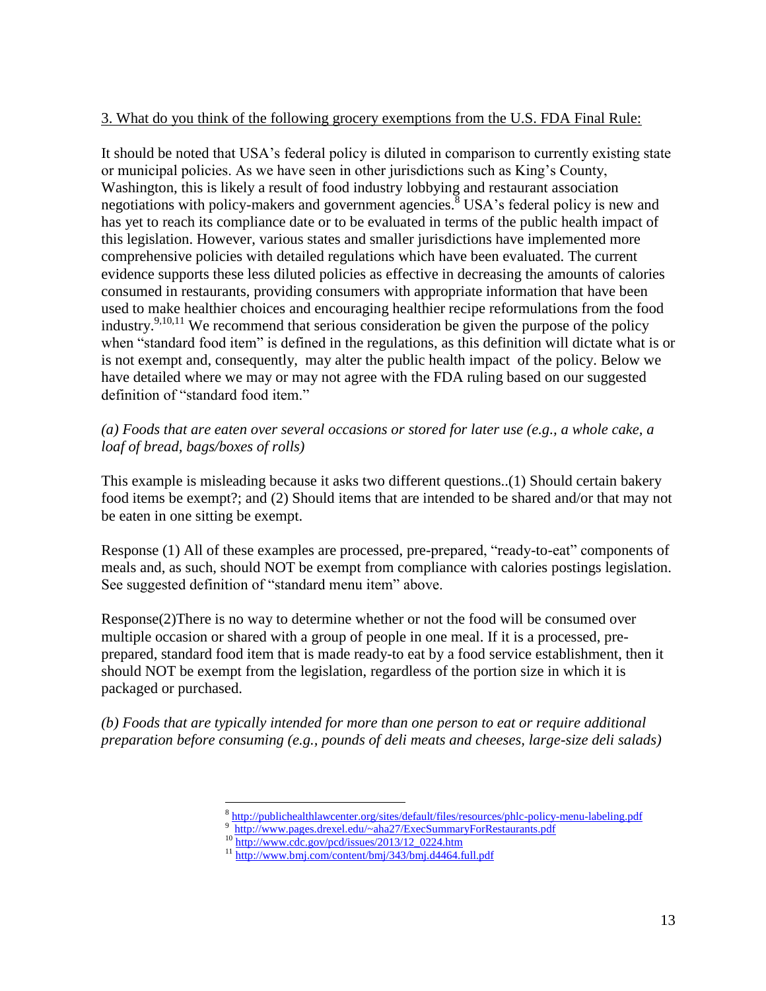### 3. What do you think of the following grocery exemptions from the U.S. FDA Final Rule:

It should be noted that USA's federal policy is diluted in comparison to currently existing state or municipal policies. As we have seen in other jurisdictions such as King's County, Washington, this is likely a result of food industry lobbying and restaurant association negotiations with policy-makers and government agencies. $8$  USA's federal policy is new and has yet to reach its compliance date or to be evaluated in terms of the public health impact of this legislation. However, various states and smaller jurisdictions have implemented more comprehensive policies with detailed regulations which have been evaluated. The current evidence supports these less diluted policies as effective in decreasing the amounts of calories consumed in restaurants, providing consumers with appropriate information that have been used to make healthier choices and encouraging healthier recipe reformulations from the food industry.<sup>9,10,11</sup> We recommend that serious consideration be given the purpose of the policy when "standard food item" is defined in the regulations, as this definition will dictate what is or is not exempt and, consequently, may alter the public health impact of the policy. Below we have detailed where we may or may not agree with the FDA ruling based on our suggested definition of "standard food item."

*(a) Foods that are eaten over several occasions or stored for later use (e.g., a whole cake, a loaf of bread, bags/boxes of rolls)* 

This example is misleading because it asks two different questions..(1) Should certain bakery food items be exempt?; and (2) Should items that are intended to be shared and/or that may not be eaten in one sitting be exempt.

Response (1) All of these examples are processed, pre-prepared, "ready-to-eat" components of meals and, as such, should NOT be exempt from compliance with calories postings legislation. See suggested definition of "standard menu item" above.

Response(2)There is no way to determine whether or not the food will be consumed over multiple occasion or shared with a group of people in one meal. If it is a processed, preprepared, standard food item that is made ready-to eat by a food service establishment, then it should NOT be exempt from the legislation, regardless of the portion size in which it is packaged or purchased.

*(b) Foods that are typically intended for more than one person to eat or require additional preparation before consuming (e.g., pounds of deli meats and cheeses, large-size deli salads)*

 $\overline{a}$ 

<sup>8</sup> <http://publichealthlawcenter.org/sites/default/files/resources/phlc-policy-menu-labeling.pdf>

<sup>9</sup><http://www.pages.drexel.edu/~aha27/ExecSummaryForRestaurants.pdf>

<sup>&</sup>lt;sup>10</sup> [http://www.cdc.gov/pcd/issues/2013/12\\_0224.htm](http://www.cdc.gov/pcd/issues/2013/12_0224.htm)

<sup>11</sup> <http://www.bmj.com/content/bmj/343/bmj.d4464.full.pdf>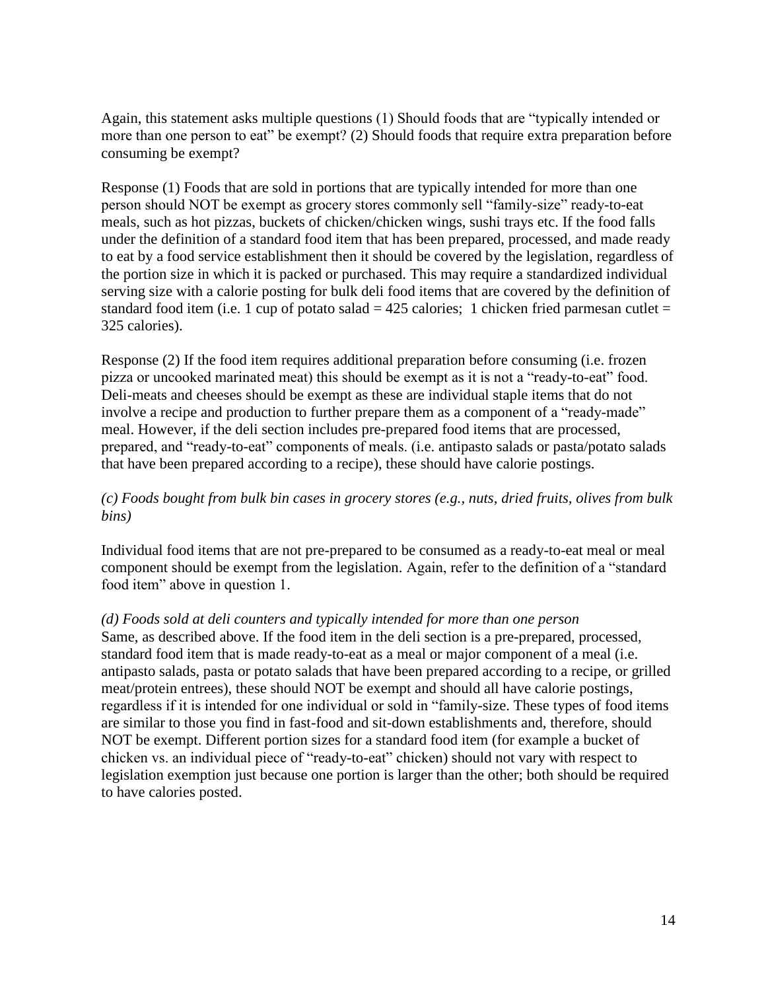Again, this statement asks multiple questions (1) Should foods that are "typically intended or more than one person to eat" be exempt? (2) Should foods that require extra preparation before consuming be exempt?

Response (1) Foods that are sold in portions that are typically intended for more than one person should NOT be exempt as grocery stores commonly sell "family-size" ready-to-eat meals, such as hot pizzas, buckets of chicken/chicken wings, sushi trays etc. If the food falls under the definition of a standard food item that has been prepared, processed, and made ready to eat by a food service establishment then it should be covered by the legislation, regardless of the portion size in which it is packed or purchased. This may require a standardized individual serving size with a calorie posting for bulk deli food items that are covered by the definition of standard food item (i.e. 1 cup of potato salad  $= 425$  calories; 1 chicken fried parmesan cutlet  $=$ 325 calories).

Response (2) If the food item requires additional preparation before consuming (i.e. frozen pizza or uncooked marinated meat) this should be exempt as it is not a "ready-to-eat" food. Deli-meats and cheeses should be exempt as these are individual staple items that do not involve a recipe and production to further prepare them as a component of a "ready-made" meal. However, if the deli section includes pre-prepared food items that are processed, prepared, and "ready-to-eat" components of meals. (i.e. antipasto salads or pasta/potato salads that have been prepared according to a recipe), these should have calorie postings.

## *(c) Foods bought from bulk bin cases in grocery stores (e.g., nuts, dried fruits, olives from bulk bins)*

Individual food items that are not pre-prepared to be consumed as a ready-to-eat meal or meal component should be exempt from the legislation. Again, refer to the definition of a "standard food item" above in question 1.

### *(d) Foods sold at deli counters and typically intended for more than one person*

Same, as described above. If the food item in the deli section is a pre-prepared, processed, standard food item that is made ready-to-eat as a meal or major component of a meal (i.e. antipasto salads, pasta or potato salads that have been prepared according to a recipe, or grilled meat/protein entrees), these should NOT be exempt and should all have calorie postings, regardless if it is intended for one individual or sold in "family-size. These types of food items are similar to those you find in fast-food and sit-down establishments and, therefore, should NOT be exempt. Different portion sizes for a standard food item (for example a bucket of chicken vs. an individual piece of "ready-to-eat" chicken) should not vary with respect to legislation exemption just because one portion is larger than the other; both should be required to have calories posted.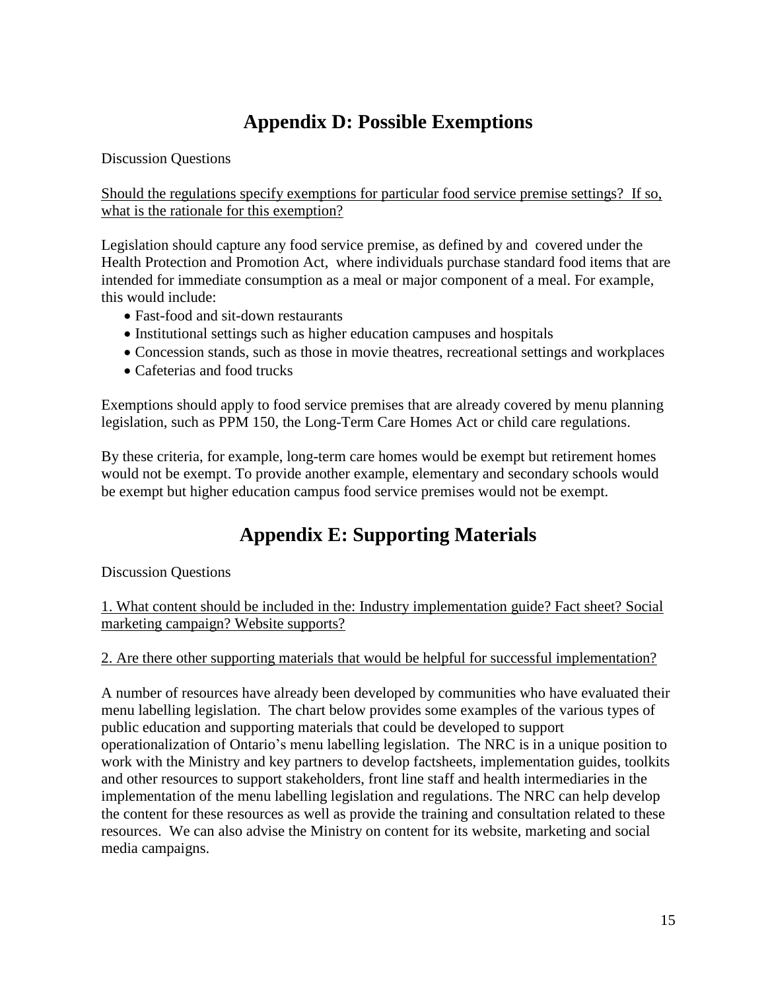# **Appendix D: Possible Exemptions**

Discussion Questions

Should the regulations specify exemptions for particular food service premise settings? If so, what is the rationale for this exemption?

Legislation should capture any food service premise, as defined by and covered under the Health Protection and Promotion Act, where individuals purchase standard food items that are intended for immediate consumption as a meal or major component of a meal. For example, this would include:

- Fast-food and sit-down restaurants
- Institutional settings such as higher education campuses and hospitals
- Concession stands, such as those in movie theatres, recreational settings and workplaces
- Cafeterias and food trucks

Exemptions should apply to food service premises that are already covered by menu planning legislation, such as PPM 150, the Long-Term Care Homes Act or child care regulations.

By these criteria, for example, long-term care homes would be exempt but retirement homes would not be exempt. To provide another example, elementary and secondary schools would be exempt but higher education campus food service premises would not be exempt.

# **Appendix E: Supporting Materials**

Discussion Questions

1. What content should be included in the: Industry implementation guide? Fact sheet? Social marketing campaign? Website supports?

2. Are there other supporting materials that would be helpful for successful implementation?

A number of resources have already been developed by communities who have evaluated their menu labelling legislation. The chart below provides some examples of the various types of public education and supporting materials that could be developed to support operationalization of Ontario's menu labelling legislation. The NRC is in a unique position to work with the Ministry and key partners to develop factsheets, implementation guides, toolkits and other resources to support stakeholders, front line staff and health intermediaries in the implementation of the menu labelling legislation and regulations. The NRC can help develop the content for these resources as well as provide the training and consultation related to these resources. We can also advise the Ministry on content for its website, marketing and social media campaigns.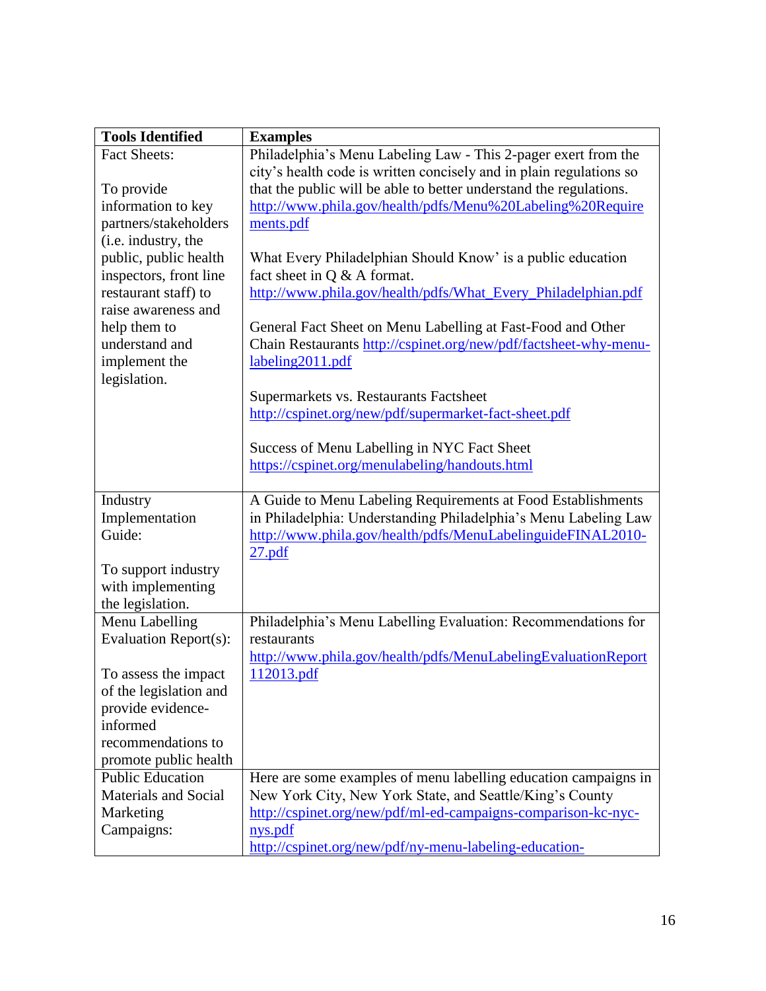| <b>Tools Identified</b>                     | <b>Examples</b>                                                                                                                 |
|---------------------------------------------|---------------------------------------------------------------------------------------------------------------------------------|
| <b>Fact Sheets:</b>                         | Philadelphia's Menu Labeling Law - This 2-pager exert from the                                                                  |
|                                             | city's health code is written concisely and in plain regulations so                                                             |
| To provide                                  | that the public will be able to better understand the regulations.                                                              |
| information to key                          | http://www.phila.gov/health/pdfs/Menu%20Labeling%20Require                                                                      |
| partners/stakeholders                       | ments.pdf                                                                                                                       |
| (i.e. industry, the                         |                                                                                                                                 |
| public, public health                       | What Every Philadelphian Should Know' is a public education                                                                     |
| inspectors, front line                      | fact sheet in $Q \& A$ format.                                                                                                  |
| restaurant staff) to<br>raise awareness and | http://www.phila.gov/health/pdfs/What_Every_Philadelphian.pdf                                                                   |
|                                             |                                                                                                                                 |
| help them to<br>understand and              | General Fact Sheet on Menu Labelling at Fast-Food and Other<br>Chain Restaurants http://cspinet.org/new/pdf/factsheet-why-menu- |
| implement the                               | labeling2011.pdf                                                                                                                |
| legislation.                                |                                                                                                                                 |
|                                             | Supermarkets vs. Restaurants Factsheet                                                                                          |
|                                             | http://cspinet.org/new/pdf/supermarket-fact-sheet.pdf                                                                           |
|                                             |                                                                                                                                 |
|                                             | Success of Menu Labelling in NYC Fact Sheet                                                                                     |
|                                             | https://cspinet.org/menulabeling/handouts.html                                                                                  |
|                                             |                                                                                                                                 |
| Industry                                    | A Guide to Menu Labeling Requirements at Food Establishments                                                                    |
| Implementation                              | in Philadelphia: Understanding Philadelphia's Menu Labeling Law                                                                 |
| Guide:                                      | http://www.phila.gov/health/pdfs/MenuLabelinguideFINAL2010-                                                                     |
|                                             | $27.$ pdf                                                                                                                       |
| To support industry                         |                                                                                                                                 |
| with implementing                           |                                                                                                                                 |
| the legislation.<br>Menu Labelling          | Philadelphia's Menu Labelling Evaluation: Recommendations for                                                                   |
| Evaluation Report(s):                       | restaurants                                                                                                                     |
|                                             | http://www.phila.gov/health/pdfs/MenuLabelingEvaluationReport                                                                   |
| To assess the impact                        | 112013.pdf                                                                                                                      |
| of the legislation and                      |                                                                                                                                 |
| provide evidence-                           |                                                                                                                                 |
| informed                                    |                                                                                                                                 |
| recommendations to                          |                                                                                                                                 |
| promote public health                       |                                                                                                                                 |
| <b>Public Education</b>                     | Here are some examples of menu labelling education campaigns in                                                                 |
| <b>Materials and Social</b>                 | New York City, New York State, and Seattle/King's County                                                                        |
| Marketing                                   | http://cspinet.org/new/pdf/ml-ed-campaigns-comparison-kc-nyc-                                                                   |
| Campaigns:                                  | nys.pdf                                                                                                                         |
|                                             | http://cspinet.org/new/pdf/ny-menu-labeling-education-                                                                          |